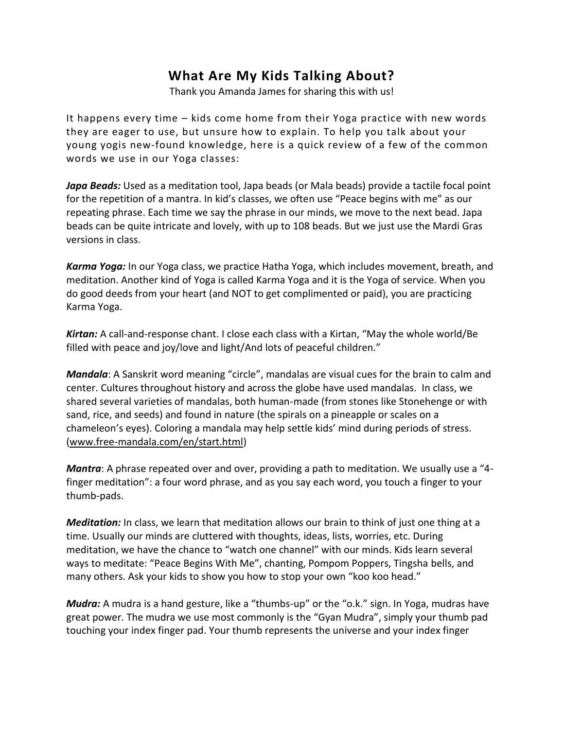## **What Are My Kids Talking About?**

Thank you Amanda James for sharing this with us!

It happens every time – kids come home from their Yoga practice with new words they are eager to use, but unsure how to explain. To help you talk about your young yogis new-found knowledge, here is a quick review of a few of the common words we use in our Yoga classes:

*Japa Beads:* Used as a meditation tool, Japa beads (or Mala beads) provide a tactile focal point for the repetition of a mantra. In kid's classes, we often use "Peace begins with me" as our repeating phrase. Each time we say the phrase in our minds, we move to the next bead. Japa beads can be quite intricate and lovely, with up to 108 beads. But we just use the Mardi Gras versions in class.

*Karma Yoga:* In our Yoga class, we practice Hatha Yoga, which includes movement, breath, and meditation. Another kind of Yoga is called Karma Yoga and it is the Yoga of service. When you do good deeds from your heart (and NOT to get complimented or paid), you are practicing Karma Yoga.

*Kirtan:* A call-and-response chant. I close each class with a Kirtan, "May the whole world/Be filled with peace and joy/love and light/And lots of peaceful children."

*Mandala*: A Sanskrit word meaning "circle", mandalas are visual cues for the brain to calm and center. Cultures throughout history and across the globe have used mandalas. In class, we shared several varieties of mandalas, both human-made (from stones like Stonehenge or with sand, rice, and seeds) and found in nature (the spirals on a pineapple or scales on a chameleon's eyes). Coloring a mandala may help settle kids' mind during periods of stress. [\(www.free-mandala.com/en/start.html\)](http://www.free-mandala.com/en/start.html)

*Mantra*: A phrase repeated over and over, providing a path to meditation. We usually use a "4 finger meditation": a four word phrase, and as you say each word, you touch a finger to your thumb-pads.

*Meditation:* In class, we learn that meditation allows our brain to think of just one thing at a time. Usually our minds are cluttered with thoughts, ideas, lists, worries, etc. During meditation, we have the chance to "watch one channel" with our minds. Kids learn several ways to meditate: "Peace Begins With Me", chanting, Pompom Poppers, Tingsha bells, and many others. Ask your kids to show you how to stop your own "koo koo head."

*Mudra:* A mudra is a hand gesture, like a "thumbs-up" or the "o.k." sign. In Yoga, mudras have great power. The mudra we use most commonly is the "Gyan Mudra", simply your thumb pad touching your index finger pad. Your thumb represents the universe and your index finger